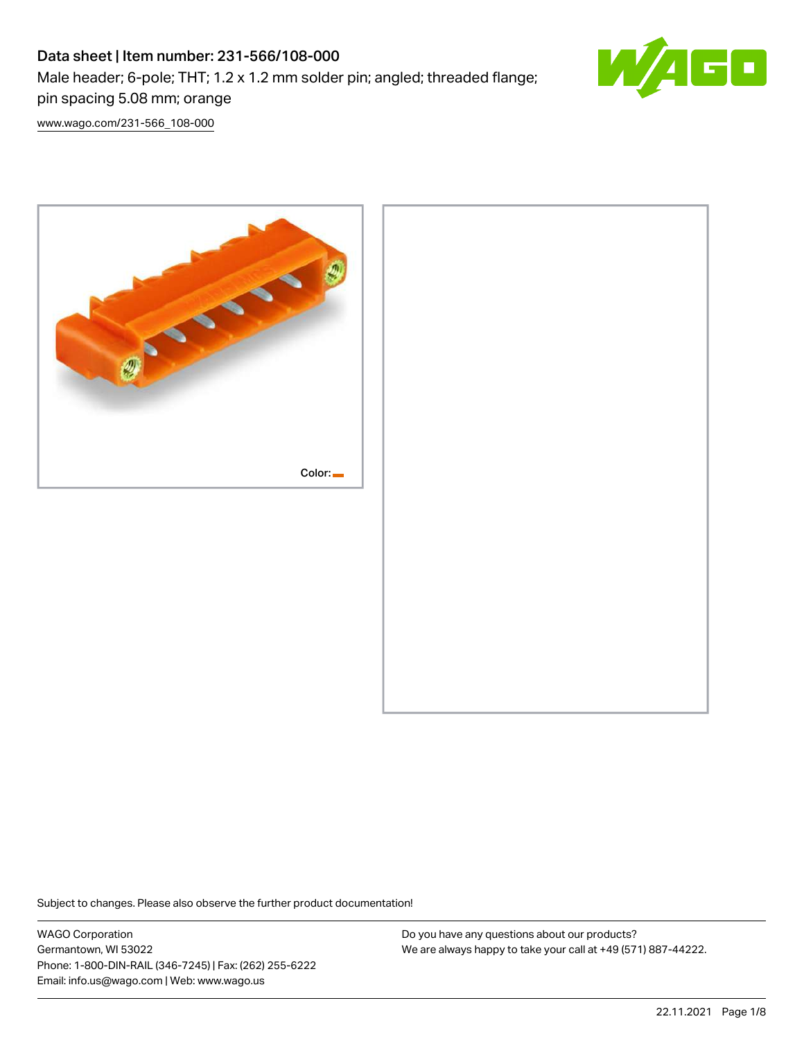# Data sheet | Item number: 231-566/108-000 Male header; 6-pole; THT; 1.2 x 1.2 mm solder pin; angled; threaded flange; pin spacing 5.08 mm; orange



[www.wago.com/231-566\\_108-000](http://www.wago.com/231-566_108-000)



Subject to changes. Please also observe the further product documentation!

WAGO Corporation Germantown, WI 53022 Phone: 1-800-DIN-RAIL (346-7245) | Fax: (262) 255-6222 Email: info.us@wago.com | Web: www.wago.us

Do you have any questions about our products? We are always happy to take your call at +49 (571) 887-44222.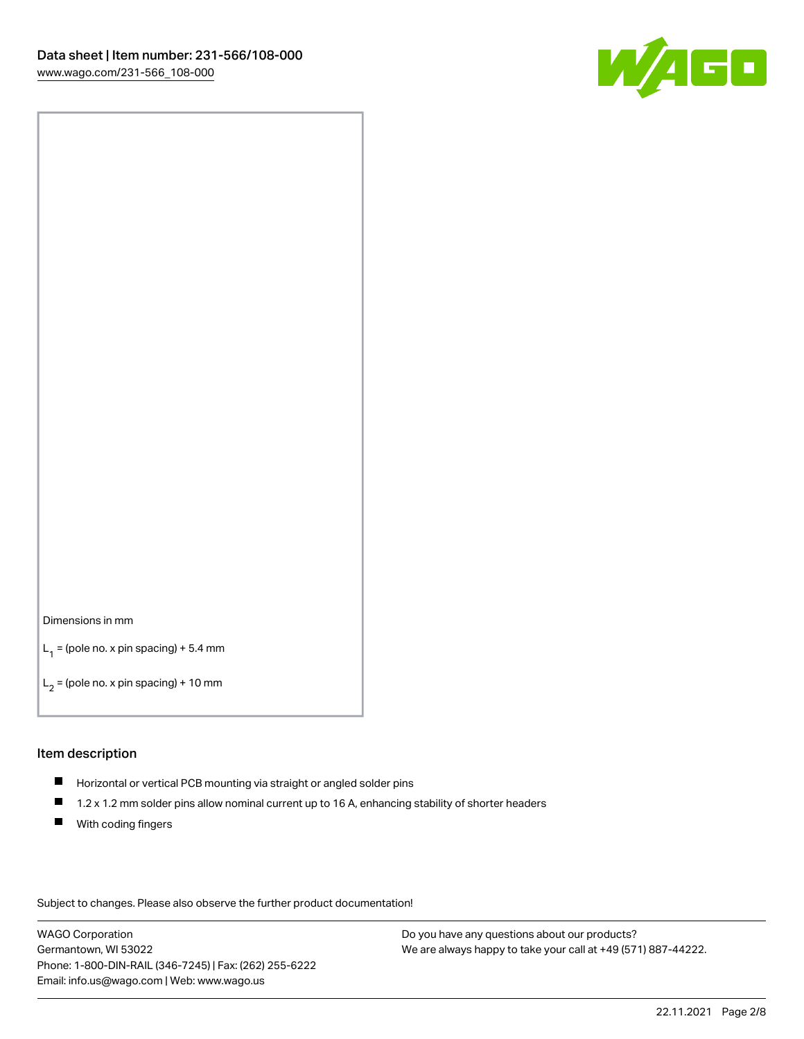

#### Dimensions in mm

 $L_1$  = (pole no. x pin spacing) + 5.4 mm

 $L_2$  = (pole no. x pin spacing) + 10 mm

#### Item description

- Horizontal or vertical PCB mounting via straight or angled solder pins
- $\blacksquare$ 1.2 x 1.2 mm solder pins allow nominal current up to 16 A, enhancing stability of shorter headers
- **With coding fingers**

Subject to changes. Please also observe the further product documentation!

WAGO Corporation Germantown, WI 53022 Phone: 1-800-DIN-RAIL (346-7245) | Fax: (262) 255-6222 Email: info.us@wago.com | Web: www.wago.us

Do you have any questions about our products? We are always happy to take your call at +49 (571) 887-44222.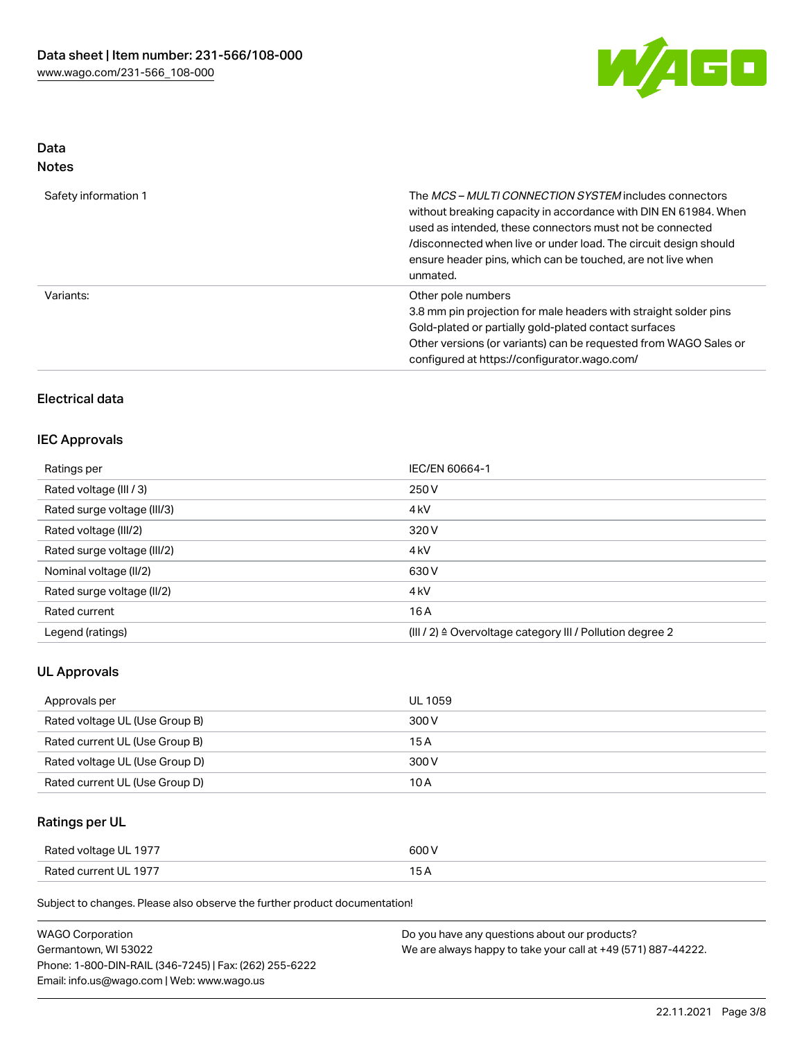

## Data Notes

| Safety information 1 | The MCS-MULTI CONNECTION SYSTEM includes connectors<br>without breaking capacity in accordance with DIN EN 61984. When<br>used as intended, these connectors must not be connected<br>/disconnected when live or under load. The circuit design should<br>ensure header pins, which can be touched, are not live when<br>unmated. |
|----------------------|-----------------------------------------------------------------------------------------------------------------------------------------------------------------------------------------------------------------------------------------------------------------------------------------------------------------------------------|
| Variants:            | Other pole numbers<br>3.8 mm pin projection for male headers with straight solder pins<br>Gold-plated or partially gold-plated contact surfaces<br>Other versions (or variants) can be requested from WAGO Sales or<br>configured at https://configurator.wago.com/                                                               |

## Electrical data

## IEC Approvals

| Ratings per                 | IEC/EN 60664-1                                            |
|-----------------------------|-----------------------------------------------------------|
| Rated voltage (III / 3)     | 250 V                                                     |
| Rated surge voltage (III/3) | 4 <sub>kV</sub>                                           |
| Rated voltage (III/2)       | 320 V                                                     |
| Rated surge voltage (III/2) | 4 <sub>kV</sub>                                           |
| Nominal voltage (II/2)      | 630 V                                                     |
| Rated surge voltage (II/2)  | 4 <sub>k</sub> V                                          |
| Rated current               | 16A                                                       |
| Legend (ratings)            | (III / 2) ≙ Overvoltage category III / Pollution degree 2 |

## UL Approvals

| Approvals per                  | UL 1059 |
|--------------------------------|---------|
| Rated voltage UL (Use Group B) | 300 V   |
| Rated current UL (Use Group B) | 15 A    |
| Rated voltage UL (Use Group D) | 300 V   |
| Rated current UL (Use Group D) | 10 A    |

## Ratings per UL

| Rated voltage UL 1977 | 600 V          |
|-----------------------|----------------|
| Rated current UL 1977 | $\overline{ }$ |

| <b>WAGO Corporation</b>                                | Do you have any questions about our products?                 |
|--------------------------------------------------------|---------------------------------------------------------------|
| Germantown, WI 53022                                   | We are always happy to take your call at +49 (571) 887-44222. |
| Phone: 1-800-DIN-RAIL (346-7245)   Fax: (262) 255-6222 |                                                               |
| Email: info.us@wago.com   Web: www.wago.us             |                                                               |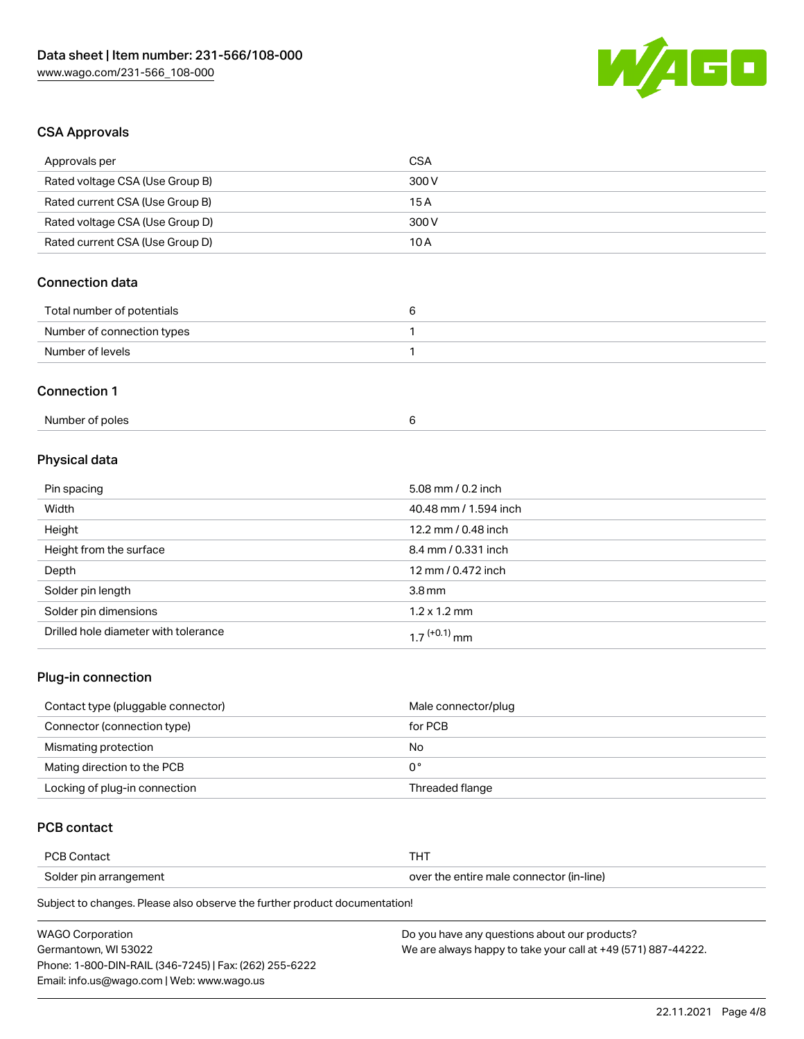

## CSA Approvals

| <b>CSA</b>            |
|-----------------------|
| 300 V                 |
| 15A                   |
| 300 V                 |
| 10 A                  |
|                       |
| 6                     |
| $\mathbf{1}$          |
| $\mathbf{1}$          |
|                       |
| 6                     |
|                       |
| 5.08 mm / 0.2 inch    |
| 40.48 mm / 1.594 inch |
|                       |

| Height                               | 12.2 mm / 0.48 inch         |
|--------------------------------------|-----------------------------|
| Height from the surface              | 8.4 mm / 0.331 inch         |
| Depth                                | 12 mm / 0.472 inch          |
| Solder pin length                    | $3.8 \,\mathrm{mm}$         |
| Solder pin dimensions                | $1.2 \times 1.2 \text{ mm}$ |
| Drilled hole diameter with tolerance | 1 7 <sup>(+0.1)</sup> mm    |

## Plug-in connection

| Contact type (pluggable connector) | Male connector/plug |
|------------------------------------|---------------------|
| Connector (connection type)        | for PCB             |
| Mismating protection               | No                  |
| Mating direction to the PCB        | 0°                  |
| Locking of plug-in connection      | Threaded flange     |

## PCB contact

| PCB Contact            | тнт                                      |
|------------------------|------------------------------------------|
| Solder pin arrangement | over the entire male connector (in-line) |

| <b>WAGO Corporation</b>                                | Do you have any questions about our products?                 |
|--------------------------------------------------------|---------------------------------------------------------------|
| Germantown. WI 53022                                   | We are always happy to take your call at +49 (571) 887-44222. |
| Phone: 1-800-DIN-RAIL (346-7245)   Fax: (262) 255-6222 |                                                               |
| Email: info.us@wago.com   Web: www.wago.us             |                                                               |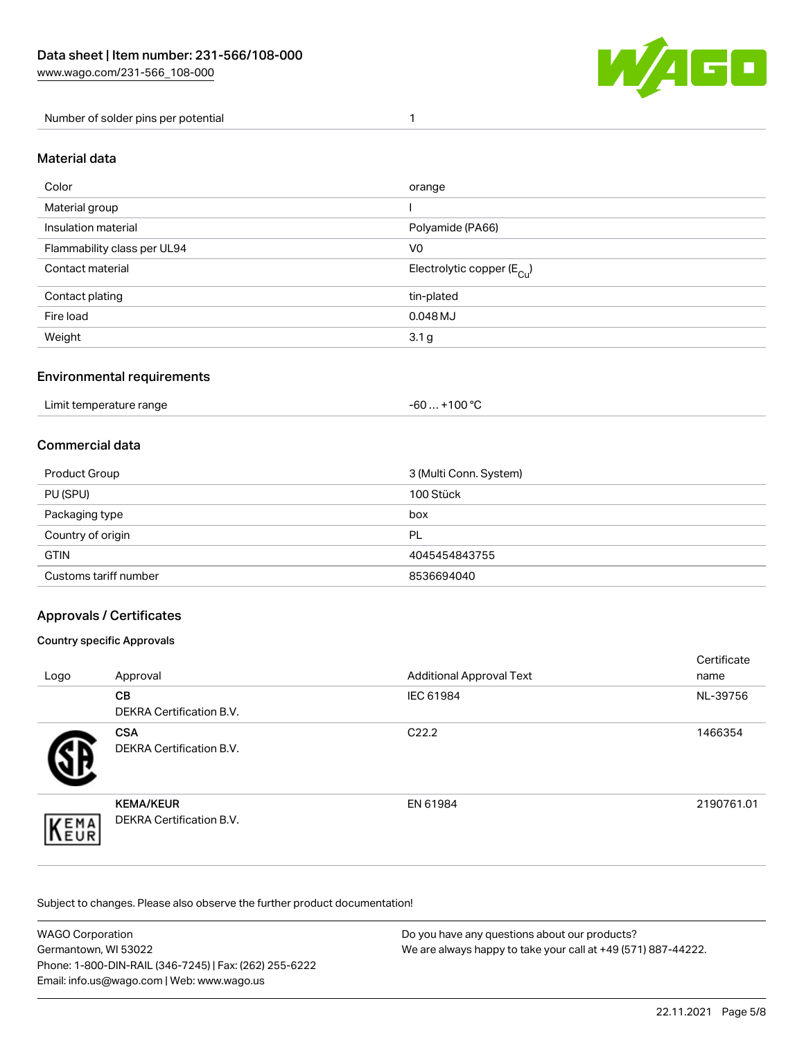

#### Number of solder pins per potential 1

#### Material data

| Color                       | orange                                 |
|-----------------------------|----------------------------------------|
| Material group              |                                        |
| Insulation material         | Polyamide (PA66)                       |
| Flammability class per UL94 | V <sub>0</sub>                         |
| Contact material            | Electrolytic copper (E <sub>Cu</sub> ) |
| Contact plating             | tin-plated                             |
| Fire load                   | $0.048$ MJ                             |
| Weight                      | 3.1 <sub>g</sub>                       |

### Environmental requirements

Limit temperature range  $-60...+100 °C$ 

#### Commercial data

| Product Group         | 3 (Multi Conn. System) |
|-----------------------|------------------------|
| PU (SPU)              | 100 Stück              |
| Packaging type        | box                    |
| Country of origin     | PL                     |
| <b>GTIN</b>           | 4045454843755          |
| Customs tariff number | 8536694040             |

## Approvals / Certificates

#### Country specific Approvals

| Logo                | Approval                                     | <b>Additional Approval Text</b> | Certificate<br>name |
|---------------------|----------------------------------------------|---------------------------------|---------------------|
|                     | <b>CB</b><br><b>DEKRA Certification B.V.</b> | IEC 61984                       | NL-39756            |
|                     | <b>CSA</b><br>DEKRA Certification B.V.       | C <sub>22.2</sub>               | 1466354             |
| EMA<br><b>INEUR</b> | <b>KEMA/KEUR</b><br>DEKRA Certification B.V. | EN 61984                        | 2190761.01          |

| <b>WAGO Corporation</b>                                | Do you have any questions about our products?                 |
|--------------------------------------------------------|---------------------------------------------------------------|
| Germantown, WI 53022                                   | We are always happy to take your call at +49 (571) 887-44222. |
| Phone: 1-800-DIN-RAIL (346-7245)   Fax: (262) 255-6222 |                                                               |
| Email: info.us@wago.com   Web: www.wago.us             |                                                               |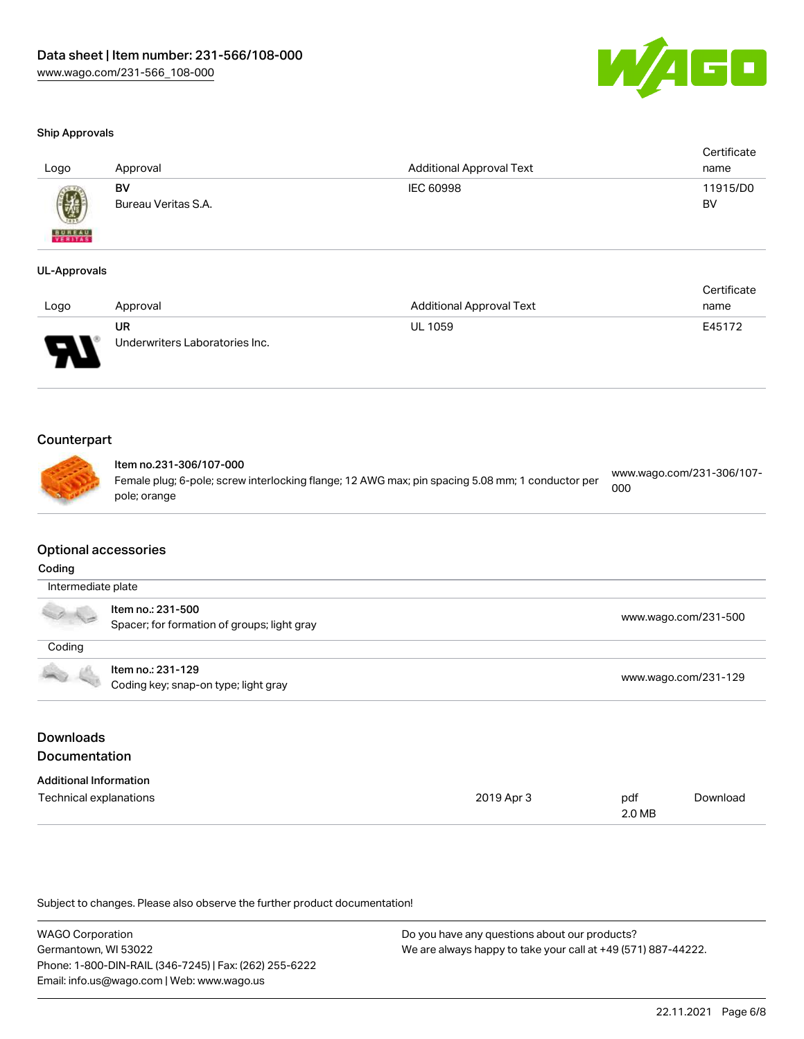

#### Ship Approvals

| Logo          | Approval            | <b>Additional Approval Text</b> | Certificate<br>name |
|---------------|---------------------|---------------------------------|---------------------|
|               | BV                  | IEC 60998                       | 11915/D0            |
| <b>BUREAU</b> | Bureau Veritas S.A. |                                 | BV                  |

#### UL-Approvals

|                                        |                                      |                                 | Certificate |
|----------------------------------------|--------------------------------------|---------------------------------|-------------|
| Logo                                   | Approval                             | <b>Additional Approval Text</b> | name        |
| $\overline{\phantom{0}}$<br><b>. .</b> | UR<br>Underwriters Laboratories Inc. | <b>UL 1059</b>                  | E45172      |

## **Counterpart**

|  | Item no.231-306/107-000<br>Female plug; 6-pole; screw interlocking flange; 12 AWG max; pin spacing 5.08 mm; 1 conductor per<br>pole; orange | www.wago.com/231-306/107-<br>000 |
|--|---------------------------------------------------------------------------------------------------------------------------------------------|----------------------------------|
|  |                                                                                                                                             |                                  |

### Optional accessories

#### Coding

| Intermediate plate                                                                                                                                                                                                                   |                                                                  |                      |  |  |
|--------------------------------------------------------------------------------------------------------------------------------------------------------------------------------------------------------------------------------------|------------------------------------------------------------------|----------------------|--|--|
|                                                                                                                                                                                                                                      | ltem no.: 231-500<br>Spacer; for formation of groups; light gray | www.wago.com/231-500 |  |  |
| Coding                                                                                                                                                                                                                               |                                                                  |                      |  |  |
| <b>Contract Contract Contract Contract Contract Contract Contract Contract Contract Contract Contract Contract Contract Contract Contract Contract Contract Contract Contract Contract Contract Contract Contract Contract Contr</b> | Item no.: 231-129<br>Coding key; snap-on type; light gray        | www.wago.com/231-129 |  |  |

## Downloads Documentation

| <b>Additional Information</b> |            |        |          |
|-------------------------------|------------|--------|----------|
| Technical explanations        | 2019 Apr 3 | pdf    | Download |
|                               |            | 2.0 MB |          |

| <b>WAGO Corporation</b>                                | Do you have any questions about our products?                 |
|--------------------------------------------------------|---------------------------------------------------------------|
| Germantown, WI 53022                                   | We are always happy to take your call at +49 (571) 887-44222. |
| Phone: 1-800-DIN-RAIL (346-7245)   Fax: (262) 255-6222 |                                                               |
| Email: info.us@wago.com   Web: www.wago.us             |                                                               |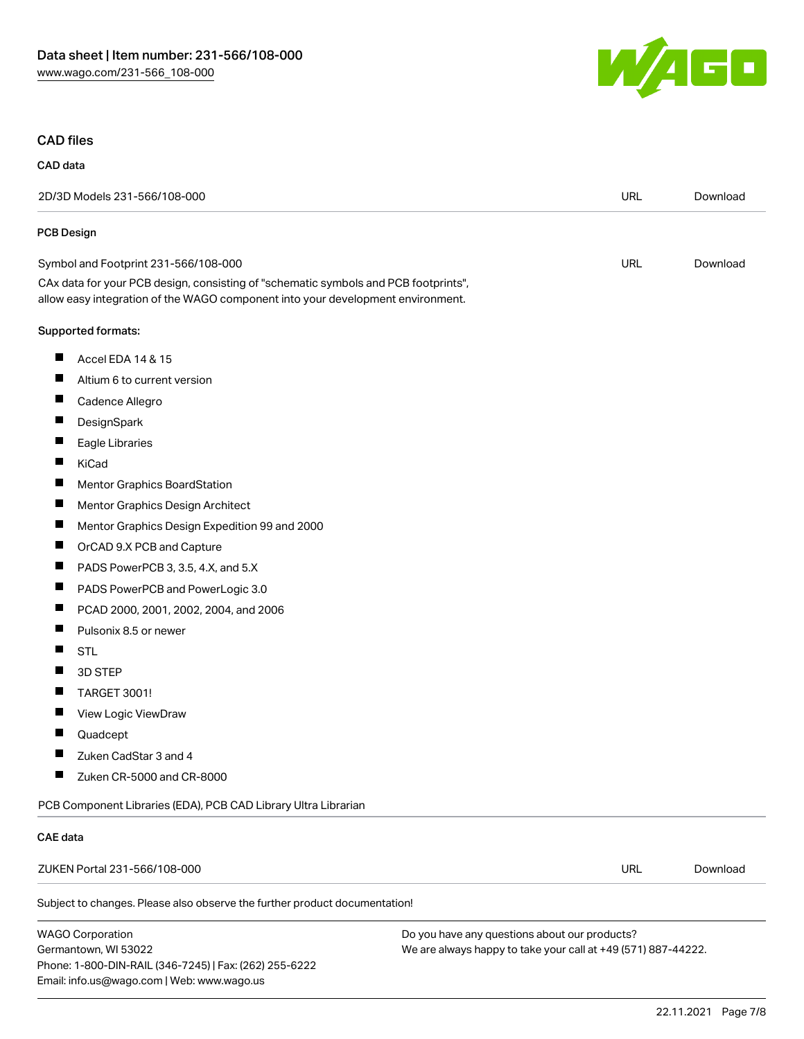Phone: 1-800-DIN-RAIL (346-7245) | Fax: (262) 255-6222

Email: info.us@wago.com | Web: www.wago.us



#### CAD files

| CAD data                                                                                                                                                               |                                                                                                                |            |          |
|------------------------------------------------------------------------------------------------------------------------------------------------------------------------|----------------------------------------------------------------------------------------------------------------|------------|----------|
| 2D/3D Models 231-566/108-000                                                                                                                                           |                                                                                                                | <b>URL</b> | Download |
| <b>PCB Design</b>                                                                                                                                                      |                                                                                                                |            |          |
| Symbol and Footprint 231-566/108-000                                                                                                                                   |                                                                                                                | <b>URL</b> | Download |
| CAx data for your PCB design, consisting of "schematic symbols and PCB footprints",<br>allow easy integration of the WAGO component into your development environment. |                                                                                                                |            |          |
| Supported formats:                                                                                                                                                     |                                                                                                                |            |          |
| ш<br>Accel EDA 14 & 15                                                                                                                                                 |                                                                                                                |            |          |
| ш<br>Altium 6 to current version                                                                                                                                       |                                                                                                                |            |          |
| Cadence Allegro                                                                                                                                                        |                                                                                                                |            |          |
| ш<br>DesignSpark                                                                                                                                                       |                                                                                                                |            |          |
| ш<br>Eagle Libraries                                                                                                                                                   |                                                                                                                |            |          |
| KiCad                                                                                                                                                                  |                                                                                                                |            |          |
| Ш<br>Mentor Graphics BoardStation                                                                                                                                      |                                                                                                                |            |          |
| ш<br>Mentor Graphics Design Architect                                                                                                                                  |                                                                                                                |            |          |
| H.<br>Mentor Graphics Design Expedition 99 and 2000                                                                                                                    |                                                                                                                |            |          |
| ш<br>OrCAD 9.X PCB and Capture                                                                                                                                         |                                                                                                                |            |          |
| ш<br>PADS PowerPCB 3, 3.5, 4.X, and 5.X                                                                                                                                |                                                                                                                |            |          |
| Ш<br>PADS PowerPCB and PowerLogic 3.0                                                                                                                                  |                                                                                                                |            |          |
| Ш<br>PCAD 2000, 2001, 2002, 2004, and 2006                                                                                                                             |                                                                                                                |            |          |
| Ш<br>Pulsonix 8.5 or newer                                                                                                                                             |                                                                                                                |            |          |
| ш<br><b>STL</b>                                                                                                                                                        |                                                                                                                |            |          |
| H<br>3D STEP                                                                                                                                                           |                                                                                                                |            |          |
| TARGET 3001!<br>L                                                                                                                                                      |                                                                                                                |            |          |
| View Logic ViewDraw                                                                                                                                                    |                                                                                                                |            |          |
| ш<br>Quadcept                                                                                                                                                          |                                                                                                                |            |          |
| Zuken CadStar 3 and 4                                                                                                                                                  |                                                                                                                |            |          |
| Zuken CR-5000 and CR-8000                                                                                                                                              |                                                                                                                |            |          |
| PCB Component Libraries (EDA), PCB CAD Library Ultra Librarian                                                                                                         |                                                                                                                |            |          |
| <b>CAE</b> data                                                                                                                                                        |                                                                                                                |            |          |
| ZUKEN Portal 231-566/108-000                                                                                                                                           |                                                                                                                | <b>URL</b> | Download |
| Subject to changes. Please also observe the further product documentation!                                                                                             |                                                                                                                |            |          |
| <b>WAGO Corporation</b><br>Germantown, WI 53022                                                                                                                        | Do you have any questions about our products?<br>We are always happy to take your call at +49 (571) 887-44222. |            |          |